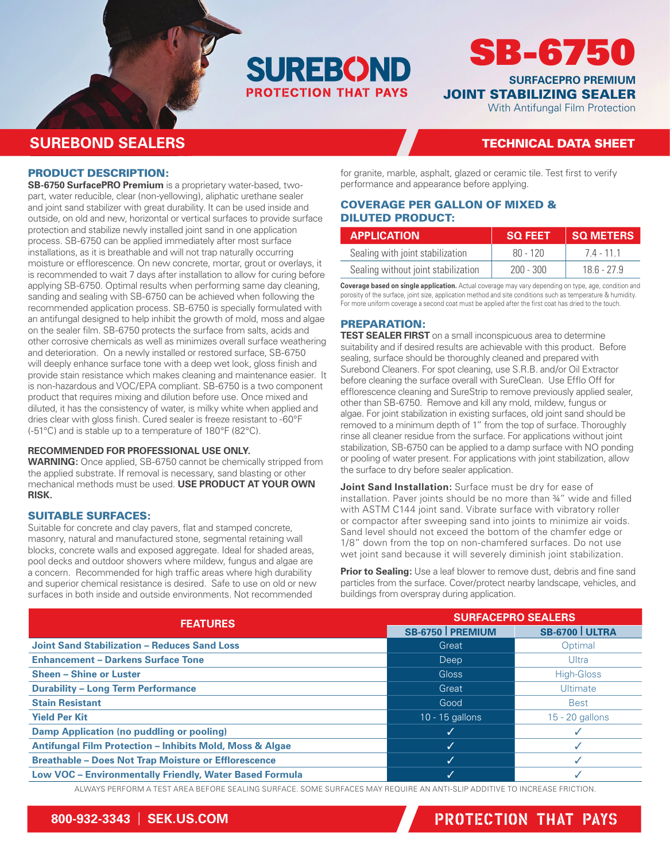

# SB-6750

**SURFACEPRO PREMIUM** JOINT STABILIZING SEALER

With Antifungal Film Protection

## **SUREBOND SEALERS** TECHNICAL DATA SHEET

### PRODUCT DESCRIPTION:

**SB-6750 SurfacePRO Premium** is a proprietary water-based, twopart, water reducible, clear (non-yellowing), aliphatic urethane sealer and joint sand stabilizer with great durability. It can be used inside and outside, on old and new, horizontal or vertical surfaces to provide surface protection and stabilize newly installed joint sand in one application process. SB-6750 can be applied immediately after most surface installations, as it is breathable and will not trap naturally occurring moisture or efflorescence. On new concrete, mortar, grout or overlays, it is recommended to wait 7 days after installation to allow for curing before applying SB-6750. Optimal results when performing same day cleaning, sanding and sealing with SB-6750 can be achieved when following the recommended application process. SB-6750 is specially formulated with an antifungal designed to help inhibit the growth of mold, moss and algae on the sealer film. SB-6750 protects the surface from salts, acids and other corrosive chemicals as well as minimizes overall surface weathering and deterioration. On a newly installed or restored surface, SB-6750 will deeply enhance surface tone with a deep wet look, gloss finish and provide stain resistance which makes cleaning and maintenance easier. It is non-hazardous and VOC/EPA compliant. SB-6750 is a two component product that requires mixing and dilution before use. Once mixed and diluted, it has the consistency of water, is milky white when applied and dries clear with gloss finish. Cured sealer is freeze resistant to -60°F (-51°C) and is stable up to a temperature of 180°F (82°C).

### **RECOMMENDED FOR PROFESSIONAL USE ONLY.**

**WARNING:** Once applied, SB-6750 cannot be chemically stripped from the applied substrate. If removal is necessary, sand blasting or other mechanical methods must be used. **USE PRODUCT AT YOUR OWN RISK.**

### SUITABLE SURFACES:

Suitable for concrete and clay pavers, flat and stamped concrete, masonry, natural and manufactured stone, segmental retaining wall blocks, concrete walls and exposed aggregate. Ideal for shaded areas, pool decks and outdoor showers where mildew, fungus and algae are a concern. Recommended for high traffic areas where high durability and superior chemical resistance is desired. Safe to use on old or new surfaces in both inside and outside environments. Not recommended

for granite, marble, asphalt, glazed or ceramic tile. Test first to verify performance and appearance before applying.

### COVERAGE PER GALLON OF MIXED & DILUTED PRODUCT:

| <b>APPLICATION</b>                  | <b>SQ FEET</b> | <b>SQ METERS</b> |
|-------------------------------------|----------------|------------------|
| Sealing with joint stabilization    | $80 - 120$     | 74 - 111         |
| Sealing without joint stabilization | -200 - 300     | $186 - 279$      |

**Coverage based on single application.** Actual coverage may vary depending on type, age, condition and porosity of the surface, joint size, application method and site conditions such as temperature & humidity. For more uniform coverage a second coat must be applied after the first coat has dried to the touch.

### PREPARATION:

**TEST SEALER FIRST** on a small inconspicuous area to determine suitability and if desired results are achievable with this product. Before sealing, surface should be thoroughly cleaned and prepared with Surebond Cleaners. For spot cleaning, use S.R.B. and/or Oil Extractor before cleaning the surface overall with SureClean. Use Efflo Off for efflorescence cleaning and SureStrip to remove previously applied sealer, other than SB-6750. Remove and kill any mold, mildew, fungus or algae. For joint stabilization in existing surfaces, old joint sand should be removed to a minimum depth of 1" from the top of surface. Thoroughly rinse all cleaner residue from the surface. For applications without joint stabilization, SB-6750 can be applied to a damp surface with NO ponding or pooling of water present. For applications with joint stabilization, allow the surface to dry before sealer application.

**Joint Sand Installation:** Surface must be dry for ease of installation. Paver joints should be no more than ¾" wide and filled with ASTM C144 joint sand. Vibrate surface with vibratory roller or compactor after sweeping sand into joints to minimize air voids. Sand level should not exceed the bottom of the chamfer edge or 1/8" down from the top on non-chamfered surfaces. Do not use wet joint sand because it will severely diminish joint stabilization.

**Prior to Sealing:** Use a leaf blower to remove dust, debris and fine sand particles from the surface. Cover/protect nearby landscape, vehicles, and buildings from overspray during application.

| <b>FEATURES</b>                                                     | <b>SURFACEPRO SEALERS</b> |                      |  |  |
|---------------------------------------------------------------------|---------------------------|----------------------|--|--|
|                                                                     | SB-6750   PREMIUM         | <b>SB-6700 ULTRA</b> |  |  |
| <b>Joint Sand Stabilization - Reduces Sand Loss</b>                 | Great                     | Optimal              |  |  |
| <b>Enhancement - Darkens Surface Tone</b>                           | Deep                      | Ultra                |  |  |
| <b>Sheen - Shine or Luster</b>                                      | Gloss                     | High-Gloss           |  |  |
| <b>Durability - Long Term Performance</b>                           | Great                     | <b>Ultimate</b>      |  |  |
| <b>Stain Resistant</b>                                              | Good                      | <b>Best</b>          |  |  |
| <b>Yield Per Kit</b>                                                | 10 - 15 gallons           | $15 - 20$ gallons    |  |  |
| <b>Damp Application (no puddling or pooling)</b>                    | √                         |                      |  |  |
| <b>Antifungal Film Protection - Inhibits Mold, Moss &amp; Algae</b> | ✓                         |                      |  |  |
| <b>Breathable - Does Not Trap Moisture or Efflorescence</b>         | ✓                         |                      |  |  |
| Low VOC - Environmentally Friendly, Water Based Formula             |                           |                      |  |  |

ALWAYS PERFORM A TEST AREA BEFORE SEALING SURFACE. SOME SURFACES MAY REQUIRE AN ANTI-SLIP ADDITIVE TO INCREASE FRICTION.

## **800-932-3343** | **SEK.US.COM** PROTECTION THAT PAYS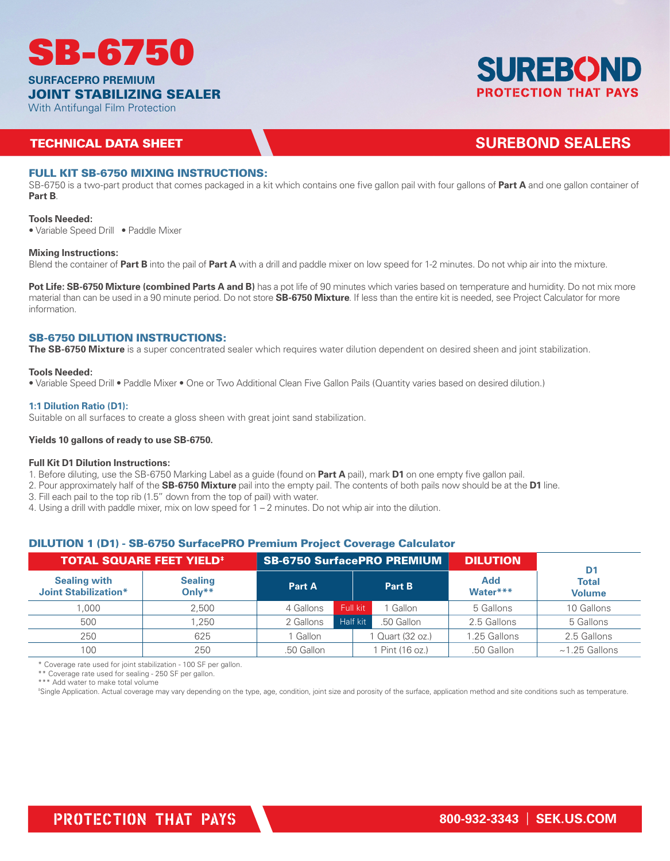

**SURFACEPRO PREMIUM**

### JOINT STABILIZING SEALER

With Antifungal Film Protection

### **TECHNICAL DATA SHEET AND SUREBOND SEALERS**

### FULL KIT SB-6750 MIXING INSTRUCTIONS:

SB-6750 is a two-part product that comes packaged in a kit which contains one five gallon pail with four gallons of **Part A** and one gallon container of **Part B**.

### **Tools Needed:**

• Variable Speed Drill • Paddle Mixer

### **Mixing Instructions:**

Blend the container of **Part B** into the pail of **Part A** with a drill and paddle mixer on low speed for 1-2 minutes. Do not whip air into the mixture.

**Pot Life: SB-6750 Mixture (combined Parts A and B)** has a pot life of 90 minutes which varies based on temperature and humidity. Do not mix more material than can be used in a 90 minute period. Do not store **SB-6750 Mixture**. If less than the entire kit is needed, see Project Calculator for more information.

### SB-6750 DILUTION INSTRUCTIONS:

**The SB-6750 Mixture** is a super concentrated sealer which requires water dilution dependent on desired sheen and joint stabilization.

### **Tools Needed:**

• Variable Speed Drill • Paddle Mixer • One or Two Additional Clean Five Gallon Pails (Quantity varies based on desired dilution.)

### **1:1 Dilution Ratio (D1):**

Suitable on all surfaces to create a gloss sheen with great joint sand stabilization.

### **Yields 10 gallons of ready to use SB-6750.**

### **Full Kit D1 Dilution Instructions:**

1. Before diluting, use the SB-6750 Marking Label as a guide (found on **Part A** pail), mark **D1** on one empty five gallon pail.

- 2. Pour approximately half of the **SB-6750 Mixture** pail into the empty pail. The contents of both pails now should be at the **D1** line.
- 3. Fill each pail to the top rib (1.5" down from the top of pail) with water.
- 4. Using a drill with paddle mixer, mix on low speed for 1 2 minutes. Do not whip air into the dilution.

### DILUTION 1 (D1) - SB-6750 SurfacePRO Premium Project Coverage Calculator

| <b>TOTAL SQUARE FEET YIELD*</b><br><b>SB-6750 SurfacePRO PREMIUM</b> |                          |               | <b>DILUTION</b> | D <sub>1</sub>   |                 |                               |
|----------------------------------------------------------------------|--------------------------|---------------|-----------------|------------------|-----------------|-------------------------------|
| <b>Sealing with</b><br><b>Joint Stabilization*</b>                   | <b>Sealing</b><br>Only** | <b>Part A</b> |                 | Part B           | Add<br>Water*** | <b>Total</b><br><b>Volume</b> |
| .000                                                                 | 2.500                    | 4 Gallons     | Full kit        | Gallon           | 5 Gallons       | 10 Gallons                    |
| 500                                                                  | .250                     | 2 Gallons     | Half kit        | .50 Gallon       | 2.5 Gallons     | 5 Gallons                     |
| 250                                                                  | 625                      | Gallon        |                 | 1 Quart (32 oz.) | 1.25 Gallons    | 2.5 Gallons                   |
| 100                                                                  | 250                      | .50 Gallon    |                 | 1 Pint (16 oz.)  | .50 Gallon      | $~1.25$ Gallons               |

\* Coverage rate used for joint stabilization - 100 SF per gallon.

\*\* Coverage rate used for sealing - 250 SF per gallon.

\*\*\* Add water to make total volume

‡ Single Application. Actual coverage may vary depending on the type, age, condition, joint size and porosity of the surface, application method and site conditions such as temperature.

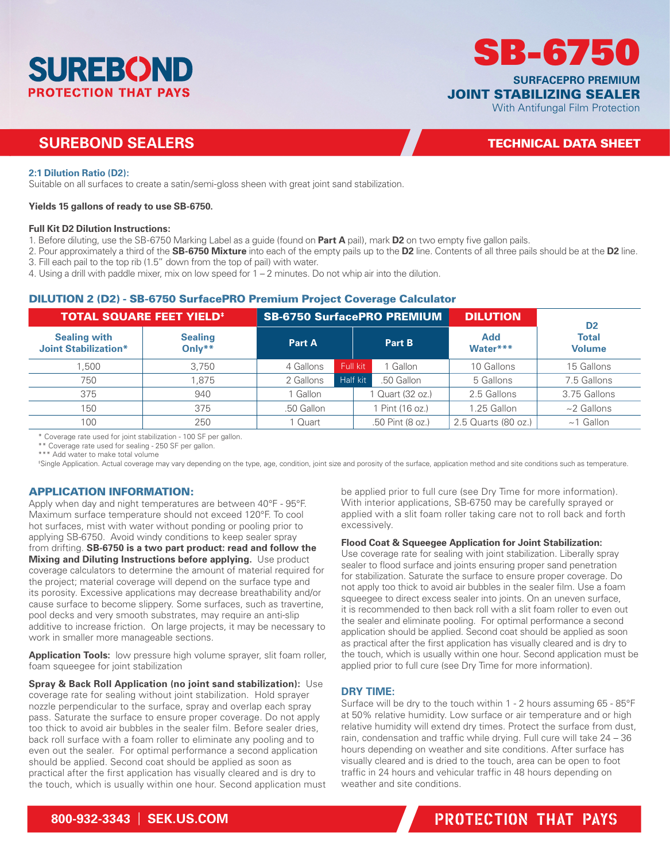

### **SUREBOND SEALERS SUREBOND SEALERS TECHNICAL DATA SHEET**

With Antifungal Film Protection

**SURFACEPRO PREMIUM**

SB-6750

JOINT STABILIZING SEALER

### **2:1 Dilution Ratio (D2):**

Suitable on all surfaces to create a satin/semi-gloss sheen with great joint sand stabilization.

### **Yields 15 gallons of ready to use SB-6750.**

#### **Full Kit D2 Dilution Instructions:**

- 1. Before diluting, use the SB-6750 Marking Label as a guide (found on **Part A** pail), mark **D2** on two empty five gallon pails.
- 2. Pour approximately a third of the **SB-6750 Mixture** into each of the empty pails up to the **D2** line. Contents of all three pails should be at the **D2** line. 3. Fill each pail to the top rib (1.5" down from the top of pail) with water.
- 4. Using a drill with paddle mixer, mix on low speed for 1 2 minutes. Do not whip air into the dilution.

### DILUTION 2 (D2) - SB-6750 SurfacePRO Premium Project Coverage Calculator

| <b>TOTAL SQUARE FEET YIELD<sup>#</sup></b><br><b>SB-6750 SurfacePRO PREMIUM</b> |                          | <b>DILUTION</b> | D <sub>2</sub>         |                        |                               |
|---------------------------------------------------------------------------------|--------------------------|-----------------|------------------------|------------------------|-------------------------------|
| <b>Sealing with</b><br><b>Joint Stabilization*</b>                              | <b>Sealing</b><br>Only** | Part A          | Part B                 | <b>Add</b><br>Water*** | <b>Total</b><br><b>Volume</b> |
| .500                                                                            | 3.750                    | 4 Gallons       | Full kit<br>Gallon     | 10 Gallons             | 15 Gallons                    |
| 750                                                                             | 1.875                    | 2 Gallons       | Half kit<br>.50 Gallon | 5 Gallons              | 7.5 Gallons                   |
| 375                                                                             | 940                      | Gallon          | Quart (32 oz.)         | 2.5 Gallons            | 3.75 Gallons                  |
| 150                                                                             | 375                      | .50 Gallon      | Pint (16 oz.)          | 1.25 Gallon            | $~2$ Gallons                  |
| 100                                                                             | 250                      | 1 Quart         | .50 Pint (8 oz.)       | 2.5 Quarts (80 oz.)    | $~1$ Gallon                   |

\* Coverage rate used for joint stabilization - 100 SF per gallon.

\*\* Coverage rate used for sealing - 250 SF per gallon.

\*\*\* Add water to make total volume

‡ Single Application. Actual coverage may vary depending on the type, age, condition, joint size and porosity of the surface, application method and site conditions such as temperature.

### APPLICATION INFORMATION:

Apply when day and night temperatures are between 40°F - 95°F. Maximum surface temperature should not exceed 120°F. To cool hot surfaces, mist with water without ponding or pooling prior to applying SB-6750. Avoid windy conditions to keep sealer spray from drifting. **SB-6750 is a two part product: read and follow the Mixing and Diluting Instructions before applying.** Use product coverage calculators to determine the amount of material required for the project; material coverage will depend on the surface type and its porosity. Excessive applications may decrease breathability and/or cause surface to become slippery. Some surfaces, such as travertine, pool decks and very smooth substrates, may require an anti-slip additive to increase friction. On large projects, it may be necessary to work in smaller more manageable sections.

**Application Tools:** low pressure high volume sprayer, slit foam roller, foam squeegee for joint stabilization

**Spray & Back Roll Application (no joint sand stabilization):** Use coverage rate for sealing without joint stabilization. Hold sprayer nozzle perpendicular to the surface, spray and overlap each spray pass. Saturate the surface to ensure proper coverage. Do not apply too thick to avoid air bubbles in the sealer film. Before sealer dries, back roll surface with a foam roller to eliminate any pooling and to even out the sealer. For optimal performance a second application should be applied. Second coat should be applied as soon as practical after the first application has visually cleared and is dry to the touch, which is usually within one hour. Second application must

be applied prior to full cure (see Dry Time for more information). With interior applications, SB-6750 may be carefully sprayed or applied with a slit foam roller taking care not to roll back and forth excessively.

### **Flood Coat & Squeegee Application for Joint Stabilization:**

Use coverage rate for sealing with joint stabilization. Liberally spray sealer to flood surface and joints ensuring proper sand penetration for stabilization. Saturate the surface to ensure proper coverage. Do not apply too thick to avoid air bubbles in the sealer film. Use a foam squeegee to direct excess sealer into joints. On an uneven surface, it is recommended to then back roll with a slit foam roller to even out the sealer and eliminate pooling. For optimal performance a second application should be applied. Second coat should be applied as soon as practical after the first application has visually cleared and is dry to the touch, which is usually within one hour. Second application must be applied prior to full cure (see Dry Time for more information).

### **DRY TIME:**

Surface will be dry to the touch within 1 - 2 hours assuming 65 - 85°F at 50% relative humidity. Low surface or air temperature and or high relative humidity will extend dry times. Protect the surface from dust, rain, condensation and traffic while drying. Full cure will take 24 – 36 hours depending on weather and site conditions. After surface has visually cleared and is dried to the touch, area can be open to foot traffic in 24 hours and vehicular traffic in 48 hours depending on weather and site conditions.

## **800-932-3343** | **SEK.US.COM 800-932-3343** | **SEK.US.COM** PROTECTION THAT PAYS